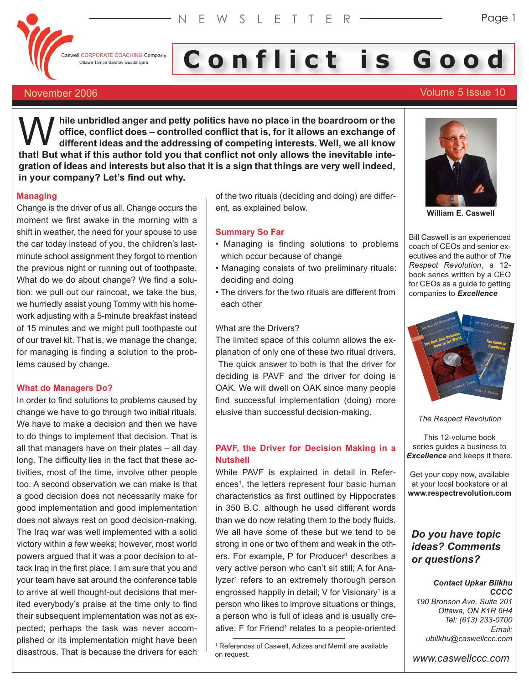

# I CORPORATE COACHING Company **Conflict is Good**

# November 2006 Volume 5 Issue 10

**hile unbridled anger and petty politics have no place in the boardroom or the office, conflict does – controlled conflict that is, for it allows an exchange of different ideas and the addressing of competing interests. Well, we all know that!** But what if this author told you that conflict not only allows an exchange of different ideas and the addressing of competing interests. Well, we all know that! But what if this author told you that conflict not on **gration of ideas and interests but also that it is a sign that things are very well indeed, in your company? Let's find out why.**

# **Managing**

Change is the driver of us all. Change occurs the moment we first awake in the morning with a shift in weather, the need for your spouse to use the car today instead of you, the children's lastminute school assignment they forgot to mention the previous night or running out of toothpaste. What do we do about change? We find a solution: we pull out our raincoat, we take the bus, we hurriedly assist young Tommy with his homework adjusting with a 5-minute breakfast instead of 15 minutes and we might pull toothpaste out of our travel kit. That is, we manage the change; for managing is finding a solution to the problems caused by change.

# **What do Managers Do?**

In order to find solutions to problems caused by change we have to go through two initial rituals. We have to make a decision and then we have to do things to implement that decision. That is all that managers have on their plates – all day long. The difficulty lies in the fact that these activities, most of the time, involve other people too. A second observation we can make is that a good decision does not necessarily make for good implementation and good implementation does not always rest on good decision-making. The Iraq war was well implemented with a solid victory within a few weeks; however, most world powers argued that it was a poor decision to attack Iraq in the first place. I am sure that you and your team have sat around the conference table to arrive at well thought-out decisions that merited everybody's praise at the time only to find their subsequent implementation was not as expected; perhaps the task was never accomplished or its implementation might have been disastrous. That is because the drivers for each

of the two rituals (deciding and doing) are different, as explained below.

# **Summary So Far**

- Managing is finding solutions to problems which occur because of change
- Managing consists of two preliminary rituals: deciding and doing
- The drivers for the two rituals are different from each other

# What are the Drivers?

The limited space of this column allows the explanation of only one of these two ritual drivers. The quick answer to both is that the driver for deciding is PAVF and the driver for doing is OAK. We will dwell on OAK since many people find successful implementation (doing) more elusive than successful decision-making.

# **PAVF, the Driver for Decision Making in a Nutshell**

While PAVF is explained in detail in References<sup>1</sup>, the letters represent four basic human characteristics as first outlined by Hippocrates in 350 B.C. although he used different words than we do now relating them to the body fluids. We all have some of these but we tend to be strong in one or two of them and weak in the others. For example, P for Producer<sup>1</sup> describes a very active person who can't sit still; A for Analyzer<sup>1</sup> refers to an extremely thorough person engrossed happily in detail;  $V$  for Visionary<sup>1</sup> is a person who likes to improve situations or things, a person who is full of ideas and is usually creative; F for Friend<sup>1</sup> relates to a people-oriented



**William E. Caswell**

Bill Caswell is an experienced coach of CEOs and senior executives and the author of *The Respect Revolution*, a 12 book series written by a CEO for CEOs as a guide to getting companies to *Excellence*



*The Respect Revolution*

This 12-volume book series guides a business to *Excellence* and keeps it there.

Get your copy now, available at your local bookstore or at **www.respectrevolution.com**

# *Do you have topic ideas? Comments or questions?*

### *Contact Upkar Bilkhu CCCC*

*190 Bronson Ave. Suite 201 Ottawa, ON K1R 6H4 Tel: (613) 233-0700 Email: ubilkhu@caswellccc.com*

*www.caswellccc.com*

<sup>1</sup> References of Caswell, Adizes and Merrill are available on request.